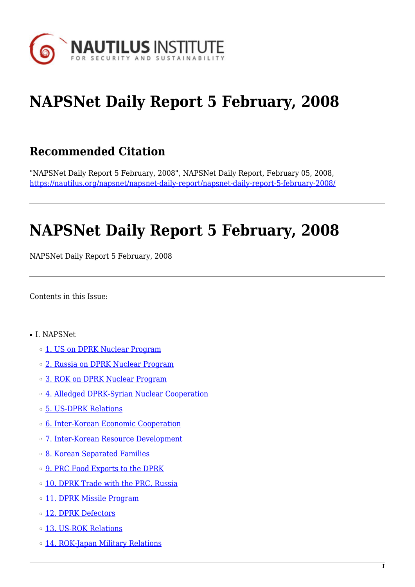

# **NAPSNet Daily Report 5 February, 2008**

## **Recommended Citation**

"NAPSNet Daily Report 5 February, 2008", NAPSNet Daily Report, February 05, 2008, <https://nautilus.org/napsnet/napsnet-daily-report/napsnet-daily-report-5-february-2008/>

# **NAPSNet Daily Report 5 February, 2008**

NAPSNet Daily Report 5 February, 2008

<span id="page-0-0"></span>Contents in this Issue:

- I. NAPSNet
	- o [1. US on DPRK Nuclear Program](#page-1-0)
	- ❍ [2. Russia on DPRK Nuclear Program](#page-2-0)
	- ❍ [3. ROK on DPRK Nuclear Program](#page-2-1)
	- o [4. Alledged DPRK-Syrian Nuclear Cooperation](#page-2-2)
	- ❍ [5. US-DPRK Relations](#page-3-0)
	- ❍ [6. Inter-Korean Economic Cooperation](#page-3-1)
	- ❍ [7. Inter-Korean Resource Development](#page-3-2)
	- ❍ [8. Korean Separated Families](#page-4-0)
	- o [9. PRC Food Exports to the DPRK](#page-4-1)
	- o [10. DPRK Trade with the PRC, Russia](#page-4-2)
	- o [11. DPRK Missile Program](#page-5-0)
	- o [12. DPRK Defectors](#page-5-1)
	- ❍ [13. US-ROK Relations](#page-5-2)
	- o [14. ROK-Japan Military Relations](#page-5-3)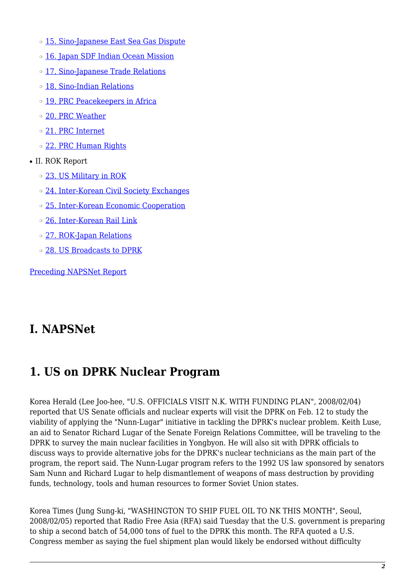- o [15. Sino-Japanese East Sea Gas Dispute](#page-6-0)
- o [16. Japan SDF Indian Ocean Mission](#page-6-1)
- o [17. Sino-Japanese Trade Relations](#page-6-2)
- ❍ [18. Sino-Indian Relations](#page-7-0)
- o [19. PRC Peacekeepers in Africa](#page-7-1)
- ❍ [20. PRC Weather](#page-7-2)
- ❍ [21. PRC Internet](#page-8-0)
- o [22. PRC Human Rights](#page-8-1)
- II. ROK Report
	- ❍ [23. US Military in ROK](#page-8-2)
	- o [24. Inter-Korean Civil Society Exchanges](#page-9-0)
	- ❍ [25. Inter-Korean Economic Cooperation](#page-9-1)
	- ❍ [26. Inter-Korean Rail Link](#page-9-2)
	- ❍ [27. ROK-Japan Relations](#page-10-0)
	- ❍ [28. US Broadcasts to DPRK](#page-10-1)

[Preceding NAPSNet Report](https://nautilus.org/mailing-lists/napsnet/dr/2008-2/napsnet-daily-report-4-february-2008/)

### **I. NAPSNet**

## <span id="page-1-0"></span>**1. US on DPRK Nuclear Program**

Korea Herald (Lee Joo-hee, "U.S. OFFICIALS VISIT N.K. WITH FUNDING PLAN", 2008/02/04) reported that US Senate officials and nuclear experts will visit the DPRK on Feb. 12 to study the viability of applying the "Nunn-Lugar" initiative in tackling the DPRK's nuclear problem. Keith Luse, an aid to Senator Richard Lugar of the Senate Foreign Relations Committee, will be traveling to the DPRK to survey the main nuclear facilities in Yongbyon. He will also sit with DPRK officials to discuss ways to provide alternative jobs for the DPRK's nuclear technicians as the main part of the program, the report said. The Nunn-Lugar program refers to the 1992 US law sponsored by senators Sam Nunn and Richard Lugar to help dismantlement of weapons of mass destruction by providing funds, technology, tools and human resources to former Soviet Union states.

Korea Times (Jung Sung-ki, "WASHINGTON TO SHIP FUEL OIL TO NK THIS MONTH", Seoul, 2008/02/05) reported that Radio Free Asia (RFA) said Tuesday that the U.S. government is preparing to ship a second batch of 54,000 tons of fuel to the DPRK this month. The RFA quoted a U.S. Congress member as saying the fuel shipment plan would likely be endorsed without difficulty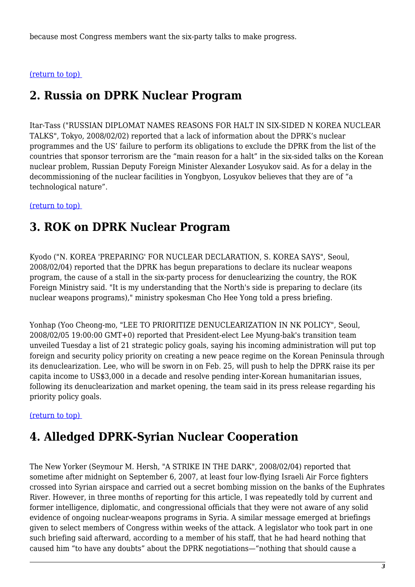because most Congress members want the six-party talks to make progress.

#### <span id="page-2-0"></span>[\(return to top\)](#page-0-0)

### **2. Russia on DPRK Nuclear Program**

Itar-Tass ("RUSSIAN DIPLOMAT NAMES REASONS FOR HALT IN SIX-SIDED N KOREA NUCLEAR TALKS", Tokyo, 2008/02/02) reported that a lack of information about the DPRK's nuclear programmes and the US' failure to perform its obligations to exclude the DPRK from the list of the countries that sponsor terrorism are the "main reason for a halt" in the six-sided talks on the Korean nuclear problem, Russian Deputy Foreign Minister Alexander Losyukov said. As for a delay in the decommissioning of the nuclear facilities in Yongbyon, Losyukov believes that they are of "a technological nature".

#### <span id="page-2-1"></span>[\(return to top\)](#page-0-0)

#### **3. ROK on DPRK Nuclear Program**

Kyodo ("N. KOREA 'PREPARING' FOR NUCLEAR DECLARATION, S. KOREA SAYS", Seoul, 2008/02/04) reported that the DPRK has begun preparations to declare its nuclear weapons program, the cause of a stall in the six-party process for denuclearizing the country, the ROK Foreign Ministry said. "It is my understanding that the North's side is preparing to declare (its nuclear weapons programs)," ministry spokesman Cho Hee Yong told a press briefing.

Yonhap (Yoo Cheong-mo, "LEE TO PRIORITIZE DENUCLEARIZATION IN NK POLICY", Seoul, 2008/02/05 19:00:00 GMT+0) reported that President-elect Lee Myung-bak's transition team unveiled Tuesday a list of 21 strategic policy goals, saying his incoming administration will put top foreign and security policy priority on creating a new peace regime on the Korean Peninsula through its denuclearization. Lee, who will be sworn in on Feb. 25, will push to help the DPRK raise its per capita income to US\$3,000 in a decade and resolve pending inter-Korean humanitarian issues, following its denuclearization and market opening, the team said in its press release regarding his priority policy goals.

#### <span id="page-2-2"></span>[\(return to top\)](#page-0-0)

## **4. Alledged DPRK-Syrian Nuclear Cooperation**

The New Yorker (Seymour M. Hersh, "A STRIKE IN THE DARK", 2008/02/04) reported that sometime after midnight on September 6, 2007, at least four low-flying Israeli Air Force fighters crossed into Syrian airspace and carried out a secret bombing mission on the banks of the Euphrates River. However, in three months of reporting for this article, I was repeatedly told by current and former intelligence, diplomatic, and congressional officials that they were not aware of any solid evidence of ongoing nuclear-weapons programs in Syria. A similar message emerged at briefings given to select members of Congress within weeks of the attack. A legislator who took part in one such briefing said afterward, according to a member of his staff, that he had heard nothing that caused him "to have any doubts" about the DPRK negotiations—"nothing that should cause a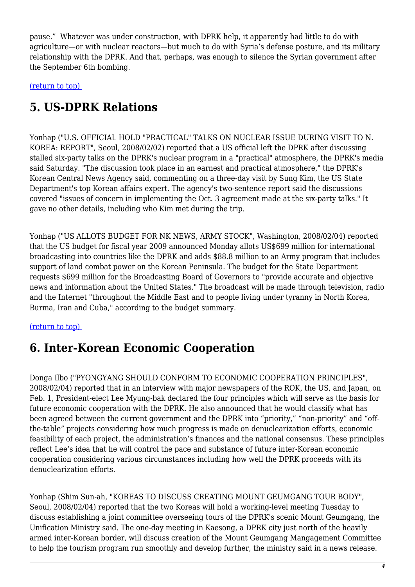pause." Whatever was under construction, with DPRK help, it apparently had little to do with agriculture—or with nuclear reactors—but much to do with Syria's defense posture, and its military relationship with the DPRK. And that, perhaps, was enough to silence the Syrian government after the September 6th bombing.

<span id="page-3-0"></span>[\(return to top\)](#page-0-0) 

## **5. US-DPRK Relations**

Yonhap ("U.S. OFFICIAL HOLD "PRACTICAL" TALKS ON NUCLEAR ISSUE DURING VISIT TO N. KOREA: REPORT", Seoul, 2008/02/02) reported that a US official left the DPRK after discussing stalled six-party talks on the DPRK's nuclear program in a "practical" atmosphere, the DPRK's media said Saturday. "The discussion took place in an earnest and practical atmosphere," the DPRK's Korean Central News Agency said, commenting on a three-day visit by Sung Kim, the US State Department's top Korean affairs expert. The agency's two-sentence report said the discussions covered "issues of concern in implementing the Oct. 3 agreement made at the six-party talks." It gave no other details, including who Kim met during the trip.

Yonhap ("US ALLOTS BUDGET FOR NK NEWS, ARMY STOCK", Washington, 2008/02/04) reported that the US budget for fiscal year 2009 announced Monday allots US\$699 million for international broadcasting into countries like the DPRK and adds \$88.8 million to an Army program that includes support of land combat power on the Korean Peninsula. The budget for the State Department requests \$699 million for the Broadcasting Board of Governors to "provide accurate and objective news and information about the United States." The broadcast will be made through television, radio and the Internet "throughout the Middle East and to people living under tyranny in North Korea, Burma, Iran and Cuba," according to the budget summary.

<span id="page-3-1"></span>[\(return to top\)](#page-0-0) 

### **6. Inter-Korean Economic Cooperation**

Donga Ilbo ("PYONGYANG SHOULD CONFORM TO ECONOMIC COOPERATION PRINCIPLES", 2008/02/04) reported that in an interview with major newspapers of the ROK, the US, and Japan, on Feb. 1, President-elect Lee Myung-bak declared the four principles which will serve as the basis for future economic cooperation with the DPRK. He also announced that he would classify what has been agreed between the current government and the DPRK into "priority," "non-priority" and "offthe-table" projects considering how much progress is made on denuclearization efforts, economic feasibility of each project, the administration's finances and the national consensus. These principles reflect Lee's idea that he will control the pace and substance of future inter-Korean economic cooperation considering various circumstances including how well the DPRK proceeds with its denuclearization efforts.

<span id="page-3-2"></span>Yonhap (Shim Sun-ah, "KOREAS TO DISCUSS CREATING MOUNT GEUMGANG TOUR BODY", Seoul, 2008/02/04) reported that the two Koreas will hold a working-level meeting Tuesday to discuss establishing a joint committee overseeing tours of the DPRK's scenic Mount Geumgang, the Unification Ministry said. The one-day meeting in Kaesong, a DPRK city just north of the heavily armed inter-Korean border, will discuss creation of the Mount Geumgang Mangagement Committee to help the tourism program run smoothly and develop further, the ministry said in a news release.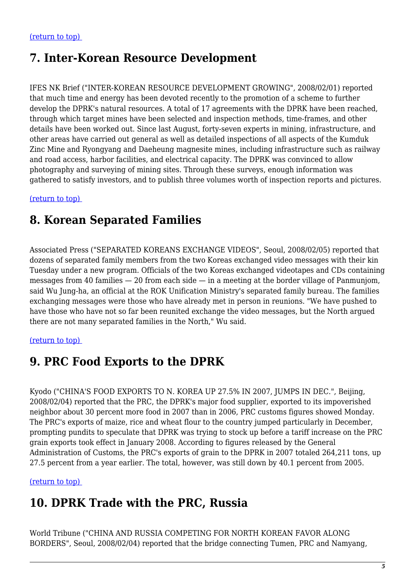### **7. Inter-Korean Resource Development**

IFES NK Brief ("INTER-KOREAN RESOURCE DEVELOPMENT GROWING", 2008/02/01) reported that much time and energy has been devoted recently to the promotion of a scheme to further develop the DPRK's natural resources. A total of 17 agreements with the DPRK have been reached, through which target mines have been selected and inspection methods, time-frames, and other details have been worked out. Since last August, forty-seven experts in mining, infrastructure, and other areas have carried out general as well as detailed inspections of all aspects of the Kumduk Zinc Mine and Ryongyang and Daeheung magnesite mines, including infrastructure such as railway and road access, harbor facilities, and electrical capacity. The DPRK was convinced to allow photography and surveying of mining sites. Through these surveys, enough information was gathered to satisfy investors, and to publish three volumes worth of inspection reports and pictures.

<span id="page-4-0"></span>[\(return to top\)](#page-0-0) 

### **8. Korean Separated Families**

Associated Press ("SEPARATED KOREANS EXCHANGE VIDEOS", Seoul, 2008/02/05) reported that dozens of separated family members from the two Koreas exchanged video messages with their kin Tuesday under a new program. Officials of the two Koreas exchanged videotapes and CDs containing messages from 40 families — 20 from each side — in a meeting at the border village of Panmunjom, said Wu Jung-ha, an official at the ROK Unification Ministry's separated family bureau. The families exchanging messages were those who have already met in person in reunions. "We have pushed to have those who have not so far been reunited exchange the video messages, but the North argued there are not many separated families in the North," Wu said.

#### <span id="page-4-1"></span>[\(return to top\)](#page-0-0)

### **9. PRC Food Exports to the DPRK**

Kyodo ("CHINA'S FOOD EXPORTS TO N. KOREA UP 27.5% IN 2007, JUMPS IN DEC.", Beijing, 2008/02/04) reported that the PRC, the DPRK's major food supplier, exported to its impoverished neighbor about 30 percent more food in 2007 than in 2006, PRC customs figures showed Monday. The PRC's exports of maize, rice and wheat flour to the country jumped particularly in December, prompting pundits to speculate that DPRK was trying to stock up before a tariff increase on the PRC grain exports took effect in January 2008. According to figures released by the General Administration of Customs, the PRC's exports of grain to the DPRK in 2007 totaled 264,211 tons, up 27.5 percent from a year earlier. The total, however, was still down by 40.1 percent from 2005.

<span id="page-4-2"></span>[\(return to top\)](#page-0-0) 

### **10. DPRK Trade with the PRC, Russia**

World Tribune ("CHINA AND RUSSIA COMPETING FOR NORTH KOREAN FAVOR ALONG BORDERS", Seoul, 2008/02/04) reported that the bridge connecting Tumen, PRC and Namyang,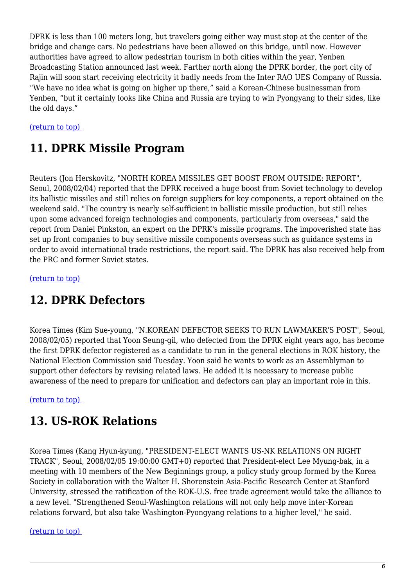DPRK is less than 100 meters long, but travelers going either way must stop at the center of the bridge and change cars. No pedestrians have been allowed on this bridge, until now. However authorities have agreed to allow pedestrian tourism in both cities within the year, Yenben Broadcasting Station announced last week. Farther north along the DPRK border, the port city of Rajin will soon start receiving electricity it badly needs from the Inter RAO UES Company of Russia. "We have no idea what is going on higher up there," said a Korean-Chinese businessman from Yenben, "but it certainly looks like China and Russia are trying to win Pyongyang to their sides, like the old days."

#### <span id="page-5-0"></span>[\(return to top\)](#page-0-0)

### **11. DPRK Missile Program**

Reuters (Jon Herskovitz, "NORTH KOREA MISSILES GET BOOST FROM OUTSIDE: REPORT", Seoul, 2008/02/04) reported that the DPRK received a huge boost from Soviet technology to develop its ballistic missiles and still relies on foreign suppliers for key components, a report obtained on the weekend said. "The country is nearly self-sufficient in ballistic missile production, but still relies upon some advanced foreign technologies and components, particularly from overseas," said the report from Daniel Pinkston, an expert on the DPRK's missile programs. The impoverished state has set up front companies to buy sensitive missile components overseas such as guidance systems in order to avoid international trade restrictions, the report said. The DPRK has also received help from the PRC and former Soviet states.

<span id="page-5-1"></span>[\(return to top\)](#page-0-0) 

#### **12. DPRK Defectors**

Korea Times (Kim Sue-young, "N.KOREAN DEFECTOR SEEKS TO RUN LAWMAKER'S POST", Seoul, 2008/02/05) reported that Yoon Seung-gil, who defected from the DPRK eight years ago, has become the first DPRK defector registered as a candidate to run in the general elections in ROK history, the National Election Commission said Tuesday. Yoon said he wants to work as an Assemblyman to support other defectors by revising related laws. He added it is necessary to increase public awareness of the need to prepare for unification and defectors can play an important role in this.

<span id="page-5-2"></span>[\(return to top\)](#page-0-0) 

### **13. US-ROK Relations**

Korea Times (Kang Hyun-kyung, "PRESIDENT-ELECT WANTS US-NK RELATIONS ON RIGHT TRACK", Seoul, 2008/02/05 19:00:00 GMT+0) reported that President-elect Lee Myung-bak, in a meeting with 10 members of the New Beginnings group, a policy study group formed by the Korea Society in collaboration with the Walter H. Shorenstein Asia-Pacific Research Center at Stanford University, stressed the ratification of the ROK-U.S. free trade agreement would take the alliance to a new level. "Strengthened Seoul-Washington relations will not only help move inter-Korean relations forward, but also take Washington-Pyongyang relations to a higher level," he said.

#### <span id="page-5-3"></span>[\(return to top\)](#page-0-0)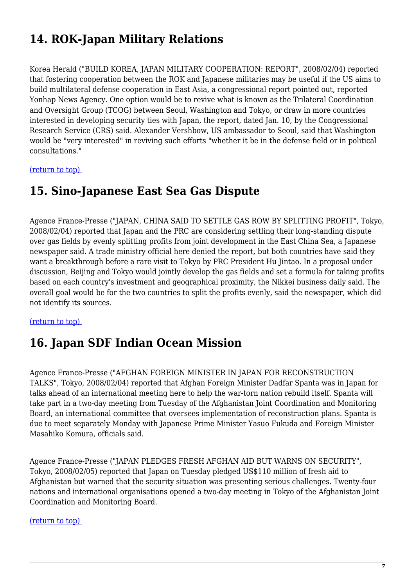## **14. ROK-Japan Military Relations**

Korea Herald ("BUILD KOREA, JAPAN MILITARY COOPERATION: REPORT", 2008/02/04) reported that fostering cooperation between the ROK and Japanese militaries may be useful if the US aims to build multilateral defense cooperation in East Asia, a congressional report pointed out, reported Yonhap News Agency. One option would be to revive what is known as the Trilateral Coordination and Oversight Group (TCOG) between Seoul, Washington and Tokyo, or draw in more countries interested in developing security ties with Japan, the report, dated Jan. 10, by the Congressional Research Service (CRS) said. Alexander Vershbow, US ambassador to Seoul, said that Washington would be "very interested" in reviving such efforts "whether it be in the defense field or in political consultations."

<span id="page-6-0"></span>[\(return to top\)](#page-0-0) 

#### **15. Sino-Japanese East Sea Gas Dispute**

Agence France-Presse ("JAPAN, CHINA SAID TO SETTLE GAS ROW BY SPLITTING PROFIT", Tokyo, 2008/02/04) reported that Japan and the PRC are considering settling their long-standing dispute over gas fields by evenly splitting profits from joint development in the East China Sea, a Japanese newspaper said. A trade ministry official here denied the report, but both countries have said they want a breakthrough before a rare visit to Tokyo by PRC President Hu Jintao. In a proposal under discussion, Beijing and Tokyo would jointly develop the gas fields and set a formula for taking profits based on each country's investment and geographical proximity, the Nikkei business daily said. The overall goal would be for the two countries to split the profits evenly, said the newspaper, which did not identify its sources.

#### <span id="page-6-1"></span>[\(return to top\)](#page-0-0)

## **16. Japan SDF Indian Ocean Mission**

Agence France-Presse ("AFGHAN FOREIGN MINISTER IN JAPAN FOR RECONSTRUCTION TALKS", Tokyo, 2008/02/04) reported that Afghan Foreign Minister Dadfar Spanta was in Japan for talks ahead of an international meeting here to help the war-torn nation rebuild itself. Spanta will take part in a two-day meeting from Tuesday of the Afghanistan Joint Coordination and Monitoring Board, an international committee that oversees implementation of reconstruction plans. Spanta is due to meet separately Monday with Japanese Prime Minister Yasuo Fukuda and Foreign Minister Masahiko Komura, officials said.

Agence France-Presse ("JAPAN PLEDGES FRESH AFGHAN AID BUT WARNS ON SECURITY", Tokyo, 2008/02/05) reported that Japan on Tuesday pledged US\$110 million of fresh aid to Afghanistan but warned that the security situation was presenting serious challenges. Twenty-four nations and international organisations opened a two-day meeting in Tokyo of the Afghanistan Joint Coordination and Monitoring Board.

#### <span id="page-6-2"></span>[\(return to top\)](#page-0-0)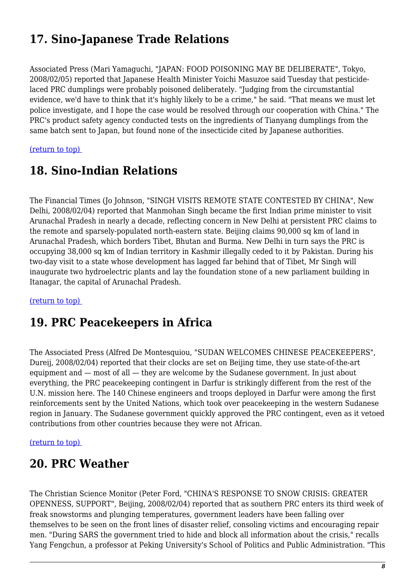## **17. Sino-Japanese Trade Relations**

Associated Press (Mari Yamaguchi, "JAPAN: FOOD POISONING MAY BE DELIBERATE", Tokyo, 2008/02/05) reported that Japanese Health Minister Yoichi Masuzoe said Tuesday that pesticidelaced PRC dumplings were probably poisoned deliberately. "Judging from the circumstantial evidence, we'd have to think that it's highly likely to be a crime," he said. "That means we must let police investigate, and I hope the case would be resolved through our cooperation with China." The PRC's product safety agency conducted tests on the ingredients of Tianyang dumplings from the same batch sent to Japan, but found none of the insecticide cited by Japanese authorities.

<span id="page-7-0"></span>[\(return to top\)](#page-0-0) 

### **18. Sino-Indian Relations**

The Financial Times (Jo Johnson, "SINGH VISITS REMOTE STATE CONTESTED BY CHINA", New Delhi, 2008/02/04) reported that Manmohan Singh became the first Indian prime minister to visit Arunachal Pradesh in nearly a decade, reflecting concern in New Delhi at persistent PRC claims to the remote and sparsely-populated north-eastern state. Beijing claims 90,000 sq km of land in Arunachal Pradesh, which borders Tibet, Bhutan and Burma. New Delhi in turn says the PRC is occupying 38,000 sq km of Indian territory in Kashmir illegally ceded to it by Pakistan. During his two-day visit to a state whose development has lagged far behind that of Tibet, Mr Singh will inaugurate two hydroelectric plants and lay the foundation stone of a new parliament building in Itanagar, the capital of Arunachal Pradesh.

<span id="page-7-1"></span>[\(return to top\)](#page-0-0) 

#### **19. PRC Peacekeepers in Africa**

The Associated Press (Alfred De Montesquiou, "SUDAN WELCOMES CHINESE PEACEKEEPERS", Dureij, 2008/02/04) reported that their clocks are set on Beijing time, they use state-of-the-art equipment and — most of all — they are welcome by the Sudanese government. In just about everything, the PRC peacekeeping contingent in Darfur is strikingly different from the rest of the U.N. mission here. The 140 Chinese engineers and troops deployed in Darfur were among the first reinforcements sent by the United Nations, which took over peacekeeping in the western Sudanese region in January. The Sudanese government quickly approved the PRC contingent, even as it vetoed contributions from other countries because they were not African.

#### <span id="page-7-2"></span>[\(return to top\)](#page-0-0)

### **20. PRC Weather**

The Christian Science Monitor (Peter Ford, "CHINA'S RESPONSE TO SNOW CRISIS: GREATER OPENNESS, SUPPORT", Beijing, 2008/02/04) reported that as southern PRC enters its third week of freak snowstorms and plunging temperatures, government leaders have been falling over themselves to be seen on the front lines of disaster relief, consoling victims and encouraging repair men. "During SARS the government tried to hide and block all information about the crisis," recalls Yang Fengchun, a professor at Peking University's School of Politics and Public Administration. "This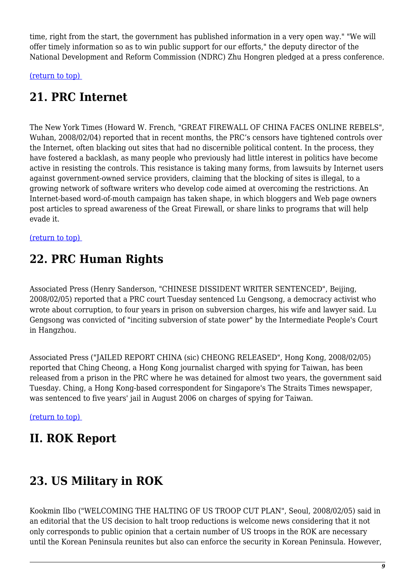time, right from the start, the government has published information in a very open way." "We will offer timely information so as to win public support for our efforts," the deputy director of the National Development and Reform Commission (NDRC) Zhu Hongren pledged at a press conference.

<span id="page-8-0"></span>[\(return to top\)](#page-0-0) 

## **21. PRC Internet**

The New York Times (Howard W. French, "GREAT FIREWALL OF CHINA FACES ONLINE REBELS", Wuhan, 2008/02/04) reported that in recent months, the PRC's censors have tightened controls over the Internet, often blacking out sites that had no discernible political content. In the process, they have fostered a backlash, as many people who previously had little interest in politics have become active in resisting the controls. This resistance is taking many forms, from lawsuits by Internet users against government-owned service providers, claiming that the blocking of sites is illegal, to a growing network of software writers who develop code aimed at overcoming the restrictions. An Internet-based word-of-mouth campaign has taken shape, in which bloggers and Web page owners post articles to spread awareness of the Great Firewall, or share links to programs that will help evade it.

<span id="page-8-1"></span>[\(return to top\)](#page-0-0) 

## **22. PRC Human Rights**

Associated Press (Henry Sanderson, "CHINESE DISSIDENT WRITER SENTENCED", Beijing, 2008/02/05) reported that a PRC court Tuesday sentenced Lu Gengsong, a democracy activist who wrote about corruption, to four years in prison on subversion charges, his wife and lawyer said. Lu Gengsong was convicted of "inciting subversion of state power" by the Intermediate People's Court in Hangzhou.

Associated Press ("JAILED REPORT CHINA (sic) CHEONG RELEASED", Hong Kong, 2008/02/05) reported that Ching Cheong, a Hong Kong journalist charged with spying for Taiwan, has been released from a prison in the PRC where he was detained for almost two years, the government said Tuesday. Ching, a Hong Kong-based correspondent for Singapore's The Straits Times newspaper, was sentenced to five years' jail in August 2006 on charges of spying for Taiwan.

[\(return to top\)](#page-0-0) 

## **II. ROK Report**

## <span id="page-8-2"></span>**23. US Military in ROK**

Kookmin Ilbo ("WELCOMING THE HALTING OF US TROOP CUT PLAN", Seoul, 2008/02/05) said in an editorial that the US decision to halt troop reductions is welcome news considering that it not only corresponds to public opinion that a certain number of US troops in the ROK are necessary until the Korean Peninsula reunites but also can enforce the security in Korean Peninsula. However,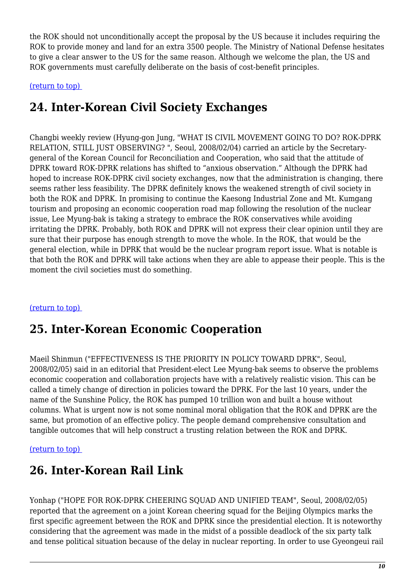the ROK should not unconditionally accept the proposal by the US because it includes requiring the ROK to provide money and land for an extra 3500 people. The Ministry of National Defense hesitates to give a clear answer to the US for the same reason. Although we welcome the plan, the US and ROK governments must carefully deliberate on the basis of cost-benefit principles.

<span id="page-9-0"></span>[\(return to top\)](#page-0-0) 

## **24. Inter-Korean Civil Society Exchanges**

Changbi weekly review (Hyung-gon Jung, "WHAT IS CIVIL MOVEMENT GOING TO DO? ROK-DPRK RELATION, STILL JUST OBSERVING? ", Seoul, 2008/02/04) carried an article by the Secretarygeneral of the Korean Council for Reconciliation and Cooperation, who said that the attitude of DPRK toward ROK-DPRK relations has shifted to "anxious observation." Although the DPRK had hoped to increase ROK-DPRK civil society exchanges, now that the administration is changing, there seems rather less feasibility. The DPRK definitely knows the weakened strength of civil society in both the ROK and DPRK. In promising to continue the Kaesong Industrial Zone and Mt. Kumgang tourism and proposing an economic cooperation road map following the resolution of the nuclear issue, Lee Myung-bak is taking a strategy to embrace the ROK conservatives while avoiding irritating the DPRK. Probably, both ROK and DPRK will not express their clear opinion until they are sure that their purpose has enough strength to move the whole. In the ROK, that would be the general election, while in DPRK that would be the nuclear program report issue. What is notable is that both the ROK and DPRK will take actions when they are able to appease their people. This is the moment the civil societies must do something.

#### <span id="page-9-1"></span>[\(return to top\)](#page-0-0)

## **25. Inter-Korean Economic Cooperation**

Maeil Shinmun ("EFFECTIVENESS IS THE PRIORITY IN POLICY TOWARD DPRK", Seoul, 2008/02/05) said in an editorial that President-elect Lee Myung-bak seems to observe the problems economic cooperation and collaboration projects have with a relatively realistic vision. This can be called a timely change of direction in policies toward the DPRK. For the last 10 years, under the name of the Sunshine Policy, the ROK has pumped 10 trillion won and built a house without columns. What is urgent now is not some nominal moral obligation that the ROK and DPRK are the same, but promotion of an effective policy. The people demand comprehensive consultation and tangible outcomes that will help construct a trusting relation between the ROK and DPRK.

#### <span id="page-9-2"></span>[\(return to top\)](#page-0-0)

## **26. Inter-Korean Rail Link**

Yonhap ("HOPE FOR ROK-DPRK CHEERING SQUAD AND UNIFIED TEAM", Seoul, 2008/02/05) reported that the agreement on a joint Korean cheering squad for the Beijing Olympics marks the first specific agreement between the ROK and DPRK since the presidential election. It is noteworthy considering that the agreement was made in the midst of a possible deadlock of the six party talk and tense political situation because of the delay in nuclear reporting. In order to use Gyeongeui rail